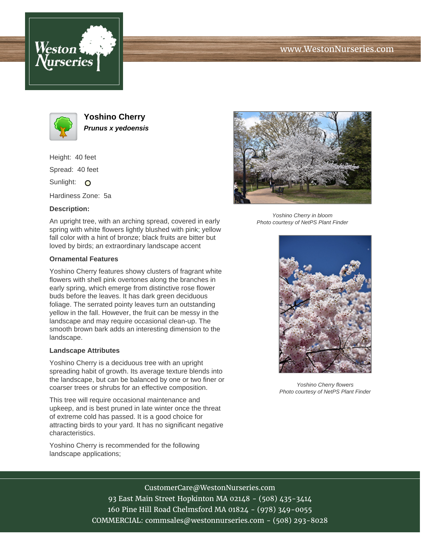



**Yoshino Cherry Prunus x yedoensis**

Height: 40 feet

Spread: 40 feet

Sunlight: O

Hardiness Zone: 5a

## **Description:**

An upright tree, with an arching spread, covered in early spring with white flowers lightly blushed with pink; yellow fall color with a hint of bronze; black fruits are bitter but loved by birds; an extraordinary landscape accent

## **Ornamental Features**

Yoshino Cherry features showy clusters of fragrant white flowers with shell pink overtones along the branches in early spring, which emerge from distinctive rose flower buds before the leaves. It has dark green deciduous foliage. The serrated pointy leaves turn an outstanding yellow in the fall. However, the fruit can be messy in the landscape and may require occasional clean-up. The smooth brown bark adds an interesting dimension to the landscape.

## **Landscape Attributes**

Yoshino Cherry is a deciduous tree with an upright spreading habit of growth. Its average texture blends into the landscape, but can be balanced by one or two finer or coarser trees or shrubs for an effective composition.

This tree will require occasional maintenance and upkeep, and is best pruned in late winter once the threat of extreme cold has passed. It is a good choice for attracting birds to your yard. It has no significant negative characteristics.

Yoshino Cherry is recommended for the following landscape applications;



Yoshino Cherry in bloom Photo courtesy of NetPS Plant Finder



Yoshino Cherry flowers Photo courtesy of NetPS Plant Finder

CustomerCare@WestonNurseries.com

93 East Main Street Hopkinton MA 02148 - (508) 435-3414 160 Pine Hill Road Chelmsford MA 01824 - (978) 349-0055 COMMERCIAL: commsales@westonnurseries.com - (508) 293-8028